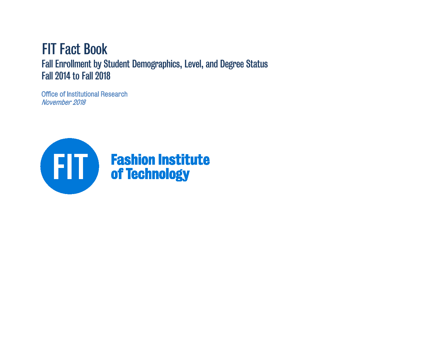# FIT Fact Book Fall Enrollment by Student Demographics, Level, and Degree Status Fall 2014 to Fall 2018

Office of Institutional Research November 2018

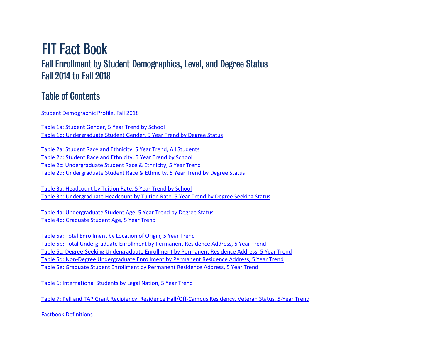# FIT Fact Book Fall Enrollment by Student Demographics, Level, and Degree Status Fall 2014 to Fall 2018

## Table of Contents

Student Demographic Profile, Fall 2018

[Table 1a: Student Gender, 5 Year Trend by School](#page-3-0) [Table 1b: Undergraduate Student Gender, 5 Year Trend by Degree Status](#page-4-0)

[Table 2a: Student Race and Ethnicity, 5 Year Trend, All Students](#page-5-0) [Table 2b: Student Race and Ethnicity, 5 Year Trend by School](#page-8-0) [Table 2c: Undergraduate Student Race & Ethnicity, 5 Year Trend](#page-9-0) [Table 2d: Undergraduate Student Race & Ethnicity, 5 Year Trend by Degree Status](#page-10-0)

[Table 3a: Headcount by Tuition Rate, 5 Year Trend by School](#page-11-0) [Table 3b: Undergraduate Headcount by Tuition Rate, 5 Year Trend by Degree Seeking Status](#page-12-0)

[Table 4a: Undergraduate Student Age, 5 Year Trend by Degree Status](#page-13-0) [Table 4b: Graduate Student Age, 5 Year Trend](#page-14-0)

[Table 5a: Total Enrollment by Location of Origin, 5 Year Trend](#page-15-0) [Table 5b: Total Undergraduate Enrollment by Permanent Residence Address, 5 Year Trend](#page-17-0) [Table 5c: Degree-Seeking Undergraduate Enrollment by Permanent Residence Address, 5 Year Trend](#page-17-0) [Table 5d: Non-Degree Undergraduate Enrollment by Permanent Residence Address, 5 Year Trend](#page-18-0) [Table 5e: Graduate Student Enrollment by Permanent Residence Address, 5 Year Trend](#page-19-0)

[Table 6: International Students by Legal Nation, 5 Year Trend](#page-21-0)

[Table 7: Pell and TAP Grant Recipiency, Residence Hall/Off-Campus Residency, Veteran Status, 5-Year Trend](#page-22-0)

[Factbook Definitions](#page-24-0)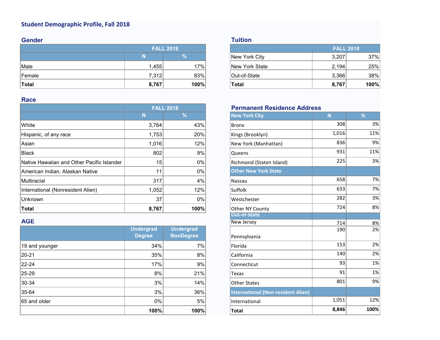### **Student Demographic Profile, Fall 2018**

### **Gender**

|               |       | <b>FALL 2018</b> |                       |       | <b>FALL 2018</b> |
|---------------|-------|------------------|-----------------------|-------|------------------|
|               |       | $\%$             | New York City         | 3,207 | 37%              |
| Male          | .455  | 17%              | <b>New York State</b> | 2,194 | 25%              |
| <b>Female</b> | 7,312 | 83%              | Out-of-State          | 3,366 | 38%              |
| Total         | 8,767 | 100%             | 'Total                | 8,767 | 100%             |

### **Race**

|                                            |                 | <b>FALL 2018</b> | <b>Permanent Residence Address</b> |       |     |
|--------------------------------------------|-----------------|------------------|------------------------------------|-------|-----|
|                                            | N               | $\sqrt{2}$       | <b>New York City</b>               | N     | %   |
| White                                      | 3.764           | 43%              | <b>Bronx</b>                       | 308   | 3%  |
| Hispanic, of any race                      | 1,753           | 20%              | Kings (Brooklyn)                   | 1,016 | 11% |
| Asian                                      | 1,016           | 12%              | New York (Manhattan)               | 836   | 9%  |
| <b>Black</b>                               | 802             | 9%               | Queens                             | 931   | 11% |
| Native Hawaiian and Other Pacific Islander | 15 <sup>1</sup> | $0\%$            | Richmond (Staten Island)           | 225   | 3%  |
| American Indian, Alaskan Native            | 11              | 0%               | <b>Other New York State</b>        |       |     |
| Multiracial                                | 317             | $4\%$            | Nassau                             | 658   | 7%  |
| International (Nonresident Alien)          | 1,052           | 12%              | Suffolk                            | 633   | 7%  |
| <b>Unknown</b>                             | 37              | $0\%$            | Westchester                        | 282   | 3%  |
| <b>Total</b>                               | 8,767           | 100%             | Other NY County                    | 724   | 8%  |

### **AGE**

|                | <b>Undergrad</b><br><b>Degree</b> | <b>Undergrad</b><br><b>NonDegree</b> | Pennsylvania                              | .<br>190 | $\sim$ , $\sim$<br>2% |
|----------------|-----------------------------------|--------------------------------------|-------------------------------------------|----------|-----------------------|
| 19 and younger | 34%                               | 7%                                   | Florida                                   | 153      | 2%                    |
| 20-21          | 35%                               | 8%                                   | California                                | 140      | 2%                    |
| 22-24          | 17%                               | 9%                                   | Connecticut                               | 93       | 1%                    |
| $ 25-29 $      | 8%                                | 21%                                  | Texas                                     | 91       | 1%                    |
| 30-34          | 3%                                | 14%                                  | <b>Other States</b>                       | 801      | 9%                    |
| 35-64          | 3%                                | 36%                                  | <b>International (Non-resident Alien)</b> |          |                       |
| 65 and older   | $0\%$                             | 5%                                   | International                             | 1,051    | 12%                   |
|                | 100%                              | 100%                                 | Total                                     | 8,846    | 100%                  |

### **Tuition**

|       | <b>FALL 2018</b> | <b>FALL 2018</b>        |
|-------|------------------|-------------------------|
|       | 70               | New York City<br>3,207  |
| 1,455 | 17%              | New York State<br>2,194 |
| 7,312 | 83%              | 3,366<br>Out-of-State   |
| 8,767 | 100%             | 8,767<br>Total          |

### **Permanent Residence Address**

| Ñ      | $\frac{9}{6}$    | <b>New York City</b>                      | N     | %    |
|--------|------------------|-------------------------------------------|-------|------|
| 3,764  | 43%              | <b>Bronx</b>                              | 308   | 3%   |
| 1,753  | 20%              | Kings (Brooklyn)                          | 1,016 | 11%  |
| 1,016  | 12%              | New York (Manhattan)                      | 836   | 9%   |
| 802    | 9%               | Queens                                    | 931   | 11%  |
| 15     | 0%               | Richmond (Staten Island)                  | 225   | 3%   |
| 11     | 0%               | <b>Other New York State</b>               |       |      |
| 317    | 4%               | Nassau                                    | 658   | 7%   |
| 1,052  | 12%              | Suffolk                                   | 633   | 7%   |
| 37     | 0%               | Westchester                               | 282   | 3%   |
| 8,767  | 100%             | Other NY County                           | 724   | 8%   |
|        |                  | <b>Out-of-State</b>                       |       |      |
|        |                  | <b>New Jersey</b>                         | 714   | 8%   |
| ergrad | <b>Undergrad</b> |                                           | 190   | 2%   |
| gree   | <b>NonDegree</b> | Pennsylvania                              |       |      |
| 34%    | 7%               | Florida                                   | 153   | 2%   |
| 35%    | 8%               | California                                | 140   | 2%   |
| 17%    | 9%               | Connecticut                               | 93    | 1%   |
| 8%     | 21%              | Texas                                     | 91    | 1%   |
| 3%     | 14%              | <b>Other States</b>                       | 801   | 9%   |
| 3%     | 36%              | <b>International (Non-resident Alien)</b> |       |      |
| 0%     | 5%               | International                             | 1,051 | 12%  |
| 100%   | 100%             | Total                                     | 8,846 | 100% |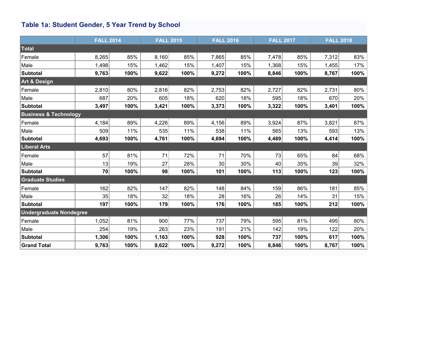## <span id="page-3-0"></span>**Table 1a: Student Gender, 5 Year Trend by School**

|                                  | <b>FALL 2014</b> |      | <b>FALL 2015</b> |      | <b>FALL 2016</b> |      | <b>FALL 2017</b> |      | <b>FALL 2018</b> |      |
|----------------------------------|------------------|------|------------------|------|------------------|------|------------------|------|------------------|------|
| Total                            |                  |      |                  |      |                  |      |                  |      |                  |      |
| Female                           | 8,265            | 85%  | 8,160            | 85%  | 7,865            | 85%  | 7,478            | 85%  | 7,312            | 83%  |
| Male                             | 1,498            | 15%  | 1,462            | 15%  | 1,407            | 15%  | 1,368            | 15%  | 1,455            | 17%  |
| Subtotal                         | 9,763            | 100% | 9,622            | 100% | 9,272            | 100% | 8,846            | 100% | 8,767            | 100% |
| <b>Art &amp; Design</b>          |                  |      |                  |      |                  |      |                  |      |                  |      |
| Female                           | 2,810            | 80%  | 2,816            | 82%  | 2,753            | 82%  | 2,727            | 82%  | 2,731            | 80%  |
| Male                             | 687              | 20%  | 605              | 18%  | 620              | 18%  | 595              | 18%  | 670              | 20%  |
| Subtotal                         | 3,497            | 100% | 3,421            | 100% | 3,373            | 100% | 3,322            | 100% | 3,401            | 100% |
| <b>Business &amp; Technology</b> |                  |      |                  |      |                  |      |                  |      |                  |      |
| Female                           | 4,184            | 89%  | 4,226            | 89%  | 4,156            | 89%  | 3,924            | 87%  | 3,821            | 87%  |
| Male                             | 509              | 11%  | 535              | 11%  | 538              | 11%  | 565              | 13%  | 593              | 13%  |
| Subtotal                         | 4,693            | 100% | 4,761            | 100% | 4,694            | 100% | 4,489            | 100% | 4,414            | 100% |
| <b>Liberal Arts</b>              |                  |      |                  |      |                  |      |                  |      |                  |      |
| Female                           | 57               | 81%  | 71               | 72%  | 71               | 70%  | 73               | 65%  | 84               | 68%  |
| Male                             | 13               | 19%  | 27               | 28%  | 30 <sup>°</sup>  | 30%  | 40               | 35%  | 39               | 32%  |
| <b>Subtotal</b>                  | 70               | 100% | 98               | 100% | 101              | 100% | 113              | 100% | 123              | 100% |
| <b>Graduate Studies</b>          |                  |      |                  |      |                  |      |                  |      |                  |      |
| Female                           | 162              | 82%  | 147              | 82%  | 148              | 84%  | 159              | 86%  | 181              | 85%  |
| Male                             | 35               | 18%  | 32               | 18%  | 28               | 16%  | 26               | 14%  | 31               | 15%  |
| Subtotal                         | 197              | 100% | 179              | 100% | 176              | 100% | 185              | 100% | 212              | 100% |
| <b>Undergraduate Nondegree</b>   |                  |      |                  |      |                  |      |                  |      |                  |      |
| Female                           | 1,052            | 81%  | 900              | 77%  | 737              | 79%  | 595              | 81%  | 495              | 80%  |
| Male                             | 254              | 19%  | 263              | 23%  | 191              | 21%  | 142              | 19%  | 122              | 20%  |
| Subtotal                         | 1,306            | 100% | 1,163            | 100% | 928              | 100% | 737              | 100% | 617              | 100% |
| <b>Grand Total</b>               | 9,763            | 100% | 9,622            | 100% | 9,272            | 100% | 8,846            | 100% | 8,767            | 100% |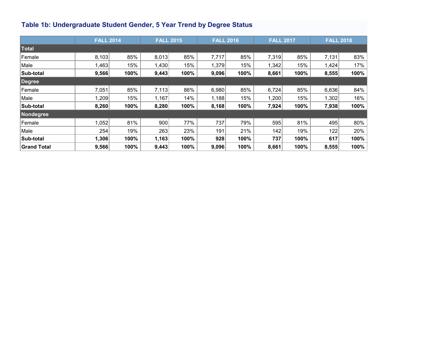## <span id="page-4-0"></span>**Table 1b: Undergraduate Student Gender, 5 Year Trend by Degree Status**

|                    | <b>FALL 2014</b> |      |       | <b>FALL 2015</b> |       | <b>FALL 2016</b> | <b>FALL 2017</b> |      | <b>FALL 2018</b> |      |
|--------------------|------------------|------|-------|------------------|-------|------------------|------------------|------|------------------|------|
| Total              |                  |      |       |                  |       |                  |                  |      |                  |      |
| <b>Female</b>      | 8,103            | 85%  | 8,013 | 85%              | 7,717 | 85%              | 7,319            | 85%  | 7,131            | 83%  |
| Male               | 1,463            | 15%  | 1,430 | 15%              | 1,379 | 15%              | 1,342            | 15%  | 1,424            | 17%  |
| <b>Sub-total</b>   | 9,566            | 100% | 9,443 | 100%             | 9,096 | 100%             | 8,661            | 100% | 8,555            | 100% |
| Degree             |                  |      |       |                  |       |                  |                  |      |                  |      |
| Female             | 7,051            | 85%  | 7,113 | 86%              | 6,980 | 85%              | 6,724            | 85%  | 6,636            | 84%  |
| Male               | 1,209            | 15%  | 1,167 | 14%              | 1,188 | 15%              | 1,200            | 15%  | 1,302            | 16%  |
| <b>Sub-total</b>   | 8,260            | 100% | 8,280 | 100%             | 8,168 | 100%             | 7,924            | 100% | 7,938            | 100% |
| Nondegree          |                  |      |       |                  |       |                  |                  |      |                  |      |
| Female             | 1,052            | 81%  | 900   | 77%              | 737   | 79%              | 595              | 81%  | 495              | 80%  |
| Male               | 254              | 19%  | 263   | 23%              | 191   | 21%              | 142              | 19%  | 122              | 20%  |
| Sub-total          | 1,306            | 100% | 1,163 | 100%             | 928   | 100%             | 737              | 100% | 617              | 100% |
| <b>Grand Total</b> | 9,566            | 100% | 9,443 | 100%             | 9,096 | 100%             | 8,661            | 100% | 8,555            | 100% |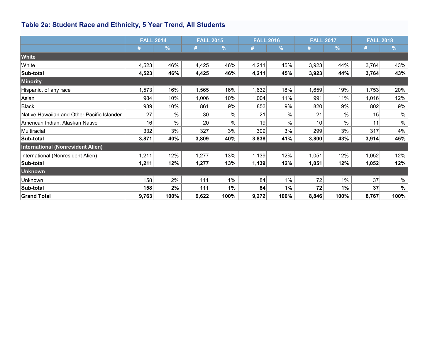## <span id="page-5-0"></span>**Table 2a: Student Race and Ethnicity, 5 Year Trend, All Students**

|                                            | <b>FALL 2014</b> |            |                 | <b>FALL 2015</b> |       | <b>FALL 2016</b> | <b>FALL 2017</b> |               |       | <b>FALL 2018</b> |
|--------------------------------------------|------------------|------------|-----------------|------------------|-------|------------------|------------------|---------------|-------|------------------|
|                                            | #                | $\sqrt{2}$ | #               | $\frac{9}{6}$    | #     | $\%$             | #                | $\frac{9}{6}$ | #     | $\frac{9}{6}$    |
| White                                      |                  |            |                 |                  |       |                  |                  |               |       |                  |
| White                                      | 4,523            | 46%        | 4,425           | 46%              | 4,211 | 45%              | 3,923            | 44%           | 3,764 | 43%              |
| Sub-total                                  | 4,523            | 46%        | 4,425           | 46%              | 4,211 | 45%              | 3,923            | 44%           | 3,764 | 43%              |
| Minority                                   |                  |            |                 |                  |       |                  |                  |               |       |                  |
| Hispanic, of any race                      | 1,573            | 16%        | 1,565           | 16%              | 1,632 | 18%              | 1,659            | 19%           | 1,753 | 20%              |
| Asian                                      | 984              | 10%        | 1,006           | 10%              | 1,004 | 11%              | 991              | 11%           | 1,016 | 12%              |
| <b>Black</b>                               | 939              | 10%        | 861             | 9%               | 853   | 9%               | 820              | 9%            | 802   | 9%               |
| Native Hawaiian and Other Pacific Islander | 27               | $\%$       | 30 <sup>°</sup> | %                | 21    | $\%$             | 21               | $\%$          | 15    | $\%$             |
| American Indian, Alaskan Native            | 16               | %          | 20              | $\%$             | 19    | $\%$             | 10               | $\%$          | 11    | $\%$             |
| Multiracial                                | 332              | 3%         | 327             | 3%               | 309   | 3%               | 299              | 3%            | 317   | 4%               |
| Sub-total                                  | 3,871            | 40%        | 3,809           | 40%              | 3,838 | 41%              | 3,800            | 43%           | 3,914 | 45%              |
| International (Nonresident Alien)          |                  |            |                 |                  |       |                  |                  |               |       |                  |
| International (Nonresident Alien)          | 1,211            | 12%        | 1,277           | 13%              | 1,139 | 12%              | 1,051            | 12%           | 1,052 | 12%              |
| Sub-total                                  | 1,211            | 12%        | 1,277           | 13%              | 1,139 | 12%              | 1,051            | 12%           | 1,052 | 12%              |
| <b>Unknown</b>                             |                  |            |                 |                  |       |                  |                  |               |       |                  |
| Unknown                                    | 158              | 2%         | 111             | 1%               | 84    | $1\%$            | 72               | 1%            | 37    | $\%$             |
| Sub-total                                  | 158              | 2%         | 111             | 1%               | 84    | 1%               | 72               | 1%            | 37    | $\%$             |
| <b>Grand Total</b>                         | 9,763            | 100%       | 9,622           | 100%             | 9,272 | 100%             | 8,846            | 100%          | 8,767 | 100%             |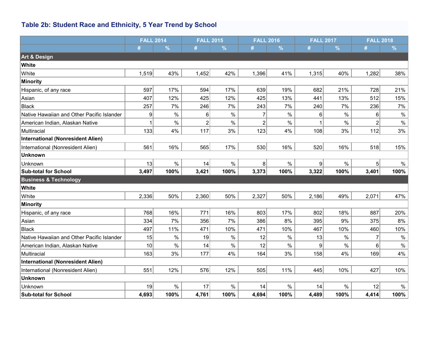## **Table 2b: Student Race and Ethnicity, 5 Year Trend by School**

|                                            | <b>FALL 2014</b> |               | <b>FALL 2015</b> |               | <b>FALL 2016</b> |               | <b>FALL 2017</b> |               | <b>FALL 2018</b> |               |
|--------------------------------------------|------------------|---------------|------------------|---------------|------------------|---------------|------------------|---------------|------------------|---------------|
|                                            | #                | $\frac{9}{6}$ | #                | $\frac{9}{6}$ | #                | $\frac{9}{6}$ | #                | $\frac{9}{6}$ | #                | $\frac{9}{6}$ |
| <b>Art &amp; Design</b>                    |                  |               |                  |               |                  |               |                  |               |                  |               |
| White                                      |                  |               |                  |               |                  |               |                  |               |                  |               |
| White                                      | 1,519            | 43%           | 1,452            | 42%           | 1,396            | 41%           | 1,315            | 40%           | 1,282            | 38%           |
| Minority                                   |                  |               |                  |               |                  |               |                  |               |                  |               |
| Hispanic, of any race                      | 597              | 17%           | 594              | 17%           | 639              | 19%           | 682              | 21%           | 728              | 21%           |
| Asian                                      | 407              | 12%           | 425              | 12%           | 425              | 13%           | 441              | 13%           | 512              | 15%           |
| Black                                      | 257              | 7%            | 246              | 7%            | 243              | 7%            | 240              | 7%            | 236              | 7%            |
| Native Hawaiian and Other Pacific Islander | 9                | $\%$          | 6                | $\%$          | $\overline{7}$   | $\%$          | 6                | $\%$          | 6                | $\%$          |
| American Indian, Alaskan Native            |                  | $\%$          | $\overline{c}$   | $\%$          | $\overline{2}$   | $\%$          |                  | $\%$          | $\overline{2}$   | $\%$          |
| Multiracial                                | 133              | 4%            | 117              | 3%            | 123              | 4%            | 108              | 3%            | 112              | 3%            |
| <b>International (Nonresident Alien)</b>   |                  |               |                  |               |                  |               |                  |               |                  |               |
| International (Nonresident Alien)          | 561              | 16%           | 565              | 17%           | 530              | 16%           | 520              | 16%           | 518              | 15%           |
| <b>Unknown</b>                             |                  |               |                  |               |                  |               |                  |               |                  |               |
| Unknown                                    | 13               | $\%$          | 14               | $\%$          | 8 <sup>1</sup>   | $\%$          | 9 <sup>1</sup>   | $\%$          | 5 <sup>1</sup>   | $\%$          |
| <b>Sub-total for School</b>                | 3,497            | 100%          | 3,421            | 100%          | 3,373            | 100%          | 3,322            | 100%          | 3,401            | 100%          |
| <b>Business &amp; Technology</b>           |                  |               |                  |               |                  |               |                  |               |                  |               |
| White                                      |                  |               |                  |               |                  |               |                  |               |                  |               |
| White                                      | 2,336            | 50%           | 2,360            | 50%           | 2,327            | 50%           | 2,186            | 49%           | 2,071            | 47%           |
| Minority                                   |                  |               |                  |               |                  |               |                  |               |                  |               |
| Hispanic, of any race                      | 768              | 16%           | 771              | 16%           | 803              | 17%           | 802              | 18%           | 887              | 20%           |
| Asian                                      | 334              | 7%            | 356              | 7%            | 386              | 8%            | 395              | 9%            | 375              | 8%            |
| Black                                      | 497              | 11%           | 471              | 10%           | 471              | 10%           | 467              | 10%           | 460              | 10%           |
| Native Hawaiian and Other Pacific Islander | 15               | $\frac{0}{0}$ | 19               | $\%$          | 12               | $\%$          | 13               | %             | 7                | $\%$          |
| American Indian, Alaskan Native            | 10               | $\%$          | 14               | $\%$          | 12               | $\%$          | 9                | $\%$          | 6                | $\%$          |
| Multiracial                                | 163              | 3%            | 177              | 4%            | 164              | 3%            | 158              | 4%            | 169              | 4%            |
| <b>International (Nonresident Alien)</b>   |                  |               |                  |               |                  |               |                  |               |                  |               |
| International (Nonresident Alien)          | 551              | 12%           | 576              | 12%           | 505              | 11%           | 445              | 10%           | 427              | 10%           |
| <b>Unknown</b>                             |                  |               |                  |               |                  |               |                  |               |                  |               |
| Unknown                                    | 19               | $\%$          | 17               | $\%$          | 14               | $\%$          | 14               | $\%$          | 12               | $\%$          |
| <b>Sub-total for School</b>                | 4,693            | 100%          | 4,761            | 100%          | 4,694            | 100%          | 4,489            | 100%          | 4,414            | 100%          |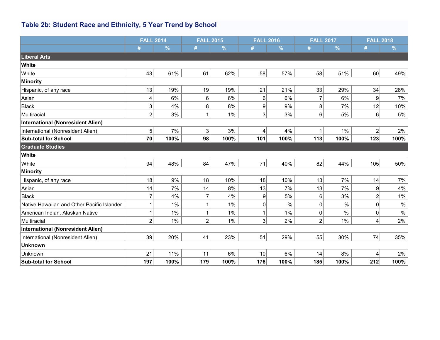## **Table 2b: Student Race and Ethnicity, 5 Year Trend by School**

|                                            | <b>FALL 2014</b> |               |                | <b>FALL 2015</b> | <b>FALL 2016</b> |               |                | <b>FALL 2017</b> | <b>FALL 2018</b> |               |
|--------------------------------------------|------------------|---------------|----------------|------------------|------------------|---------------|----------------|------------------|------------------|---------------|
|                                            | #                | $\frac{9}{6}$ | #              | $\%$             | #                | $\frac{9}{6}$ | #              | %                | #                | $\frac{9}{6}$ |
| <b>Liberal Arts</b>                        |                  |               |                |                  |                  |               |                |                  |                  |               |
| White                                      |                  |               |                |                  |                  |               |                |                  |                  |               |
| White                                      | 43               | 61%           | 61             | 62%              | 58               | 57%           | 58             | 51%              | 60               | 49%           |
| Minority                                   |                  |               |                |                  |                  |               |                |                  |                  |               |
| Hispanic, of any race                      | 13               | 19%           | 19             | 19%              | 21               | 21%           | 33             | 29%              | 34               | 28%           |
| Asian                                      | 4                | 6%            | 6              | 6%               | 6                | 6%            | 7              | 6%               | 9                | 7%            |
| <b>Black</b>                               | 3                | 4%            | 8              | 8%               | 9                | 9%            | 8              | 7%               | 12               | 10%           |
| Multiracial                                | $\overline{2}$   | 3%            | 1              | $1\%$            | 3 <sup>1</sup>   | 3%            | 6              | 5%               | 6                | 5%            |
| International (Nonresident Alien)          |                  |               |                |                  |                  |               |                |                  |                  |               |
| International (Nonresident Alien)          | 5                | 7%            | $\mathbf{3}$   | 3%               | 4                | 4%            |                | 1%               | $\overline{2}$   | 2%            |
| <b>Sub-total for School</b>                | 70               | 100%          | 98             | 100%             | 101              | 100%          | 113            | 100%             | 123              | 100%          |
| <b>Graduate Studies</b>                    |                  |               |                |                  |                  |               |                |                  |                  |               |
| White                                      |                  |               |                |                  |                  |               |                |                  |                  |               |
| White                                      | 94               | 48%           | 84             | 47%              | 71               | 40%           | 82             | 44%              | 105              | 50%           |
| Minority                                   |                  |               |                |                  |                  |               |                |                  |                  |               |
| Hispanic, of any race                      | 18               | 9%            | 18             | 10%              | 18               | 10%           | 13             | 7%               | 14               | 7%            |
| Asian                                      | 14               | 7%            | 14             | 8%               | 13               | 7%            | 13             | 7%               | 9                | 4%            |
| Black                                      | $\overline{7}$   | 4%            | 7              | 4%               | 9                | 5%            | 6              | 3%               | $\overline{2}$   | 1%            |
| Native Hawaiian and Other Pacific Islander |                  | 1%            |                | 1%               | 0                | $\%$          | 0              | $\%$             | $\mathbf 0$      | $\%$          |
| American Indian, Alaskan Native            |                  | $1\%$         | 1              | $1\%$            |                  | $1\%$         | 0              | $\%$             | 0                | $\%$          |
| Multiracial                                | $\overline{2}$   | 1%            | $\overline{2}$ | 1%               | $\overline{3}$   | 2%            | $\overline{2}$ | 1%               | 4                | 2%            |
| International (Nonresident Alien)          |                  |               |                |                  |                  |               |                |                  |                  |               |
| International (Nonresident Alien)          | 39               | 20%           | 41             | 23%              | 51               | 29%           | 55             | 30%              | 74               | 35%           |
| <b>Unknown</b>                             |                  |               |                |                  |                  |               |                |                  |                  |               |
| Unknown                                    | 21               | 11%           | 11             | 6%               | 10               | 6%            | 14             | 8%               | 4                | 2%            |
| <b>Sub-total for School</b>                | 197              | 100%          | 179            | 100%             | 176              | 100%          | 185            | 100%             | 212              | 100%          |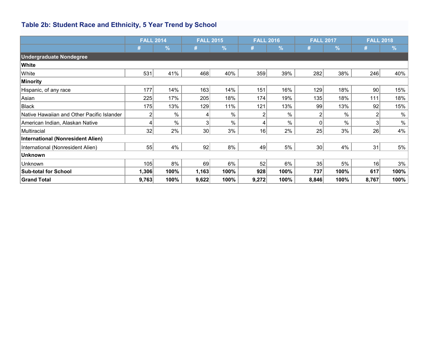## <span id="page-8-0"></span>**Table 2b: Student Race and Ethnicity, 5 Year Trend by School**

|                                            | <b>FALL 2014</b> |               | <b>FALL 2015</b> |               | <b>FALL 2016</b> |            |                 | <b>FALL 2017</b> | <b>FALL 2018</b> |               |
|--------------------------------------------|------------------|---------------|------------------|---------------|------------------|------------|-----------------|------------------|------------------|---------------|
|                                            | #                | $\frac{9}{6}$ | #                | $\frac{9}{6}$ |                  | $\sqrt{2}$ | #               | $\frac{1}{2}$    | #                | $\frac{9}{6}$ |
| <b>Undergraduate Nondegree</b>             |                  |               |                  |               |                  |            |                 |                  |                  |               |
| <b>White</b>                               |                  |               |                  |               |                  |            |                 |                  |                  |               |
| White                                      | 531              | 41%           | 468              | 40%           | 359              | 39%        | 282             | 38%              | 246              | 40%           |
| Minority                                   |                  |               |                  |               |                  |            |                 |                  |                  |               |
| Hispanic, of any race                      | 177              | 14%           | 163              | 14%           | 151              | 16%        | 129             | 18%              | 90               | 15%           |
| Asian                                      | 225              | 17%           | 205              | 18%           | 174              | 19%        | 135             | 18%              | 111              | 18%           |
| Black                                      | 175              | 13%           | 129              | 11%           | 121              | 13%        | 99              | 13%              | 92               | 15%           |
| Native Hawaiian and Other Pacific Islander | $\overline{2}$   | $\%$          | 4                | $\%$          | 2                | %          | $\mathsf{2}$    | $\%$             |                  | $\%$          |
| American Indian, Alaskan Native            | 4                | $\%$          | 3                | $\%$          | $\overline{4}$   | %          | $\Omega$        | $\frac{0}{0}$    | 3                | $\%$          |
| Multiracial                                | 32               | 2%            | 30 <sup>2</sup>  | 3%            | 16               | 2%         | 25              | 3%               | 26               | 4%            |
| International (Nonresident Alien)          |                  |               |                  |               |                  |            |                 |                  |                  |               |
| International (Nonresident Alien)          | 55               | 4%            | 92               | 8%            | 49               | 5%         | 30 <sup>2</sup> | 4%               | 31               | 5%            |
| <b>Unknown</b>                             |                  |               |                  |               |                  |            |                 |                  |                  |               |
| Unknown                                    | 105              | 8%            | 69               | 6%            | 52               | 6%         | 35              | 5%               | 16               | 3%            |
| <b>Sub-total for School</b>                | 1,306            | 100%          | 1,163            | 100%          | 928              | 100%       | 737             | 100%             | 617              | 100%          |
| Grand Total                                | 9,763            | 100%          | 9,622            | 100%          | 9,272            | 100%       | 8,846           | 100%             | 8,767            | 100%          |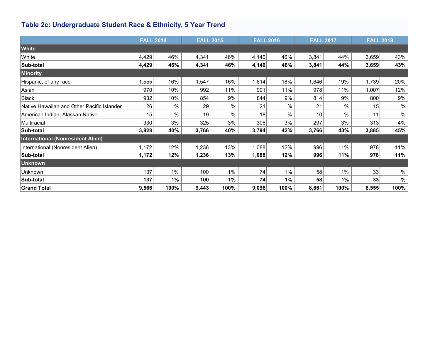## <span id="page-9-0"></span>**Table 2c: Undergraduate Student Race & Ethnicity, 5 Year Trend**

|                                            | <b>FALL 2014</b> |      | <b>FALL 2015</b> |      | <b>FALL 2016</b> |       |                 | <b>FALL 2017</b> | <b>FALL 2018</b> |      |
|--------------------------------------------|------------------|------|------------------|------|------------------|-------|-----------------|------------------|------------------|------|
| White                                      |                  |      |                  |      |                  |       |                 |                  |                  |      |
| White                                      | 4,429            | 46%  | 4,341            | 46%  | 4,140            | 46%   | 3,841           | 44%              | 3,659            | 43%  |
| Sub-total                                  | 4,429            | 46%  | 4,341            | 46%  | 4,140            | 46%   | 3,841           | 44%              | 3,659            | 43%  |
| Minority                                   |                  |      |                  |      |                  |       |                 |                  |                  |      |
| Hispanic, of any race                      | 1,555            | 16%  | 1,547            | 16%  | 1,614            | 18%   | 1,646           | 19%              | 1,739            | 20%  |
| Asian                                      | 970              | 10%  | 992              | 11%  | 991              | 11%   | 978             | 11%              | 1,007            | 12%  |
| Black                                      | 932              | 10%  | 854              | 9%   | 844              | 9%    | 814             | 9%               | 800              | 9%   |
| Native Hawaiian and Other Pacific Islander | 26               | $\%$ | 29               | $\%$ | 21               | $\%$  | 21              | $\%$             | 15               | $\%$ |
| American Indian, Alaskan Native            | 15               | %    | 19               | $\%$ | 18               | $\%$  | 10 <sup>1</sup> | %                | 11               | $\%$ |
| Multiracial                                | 330              | 3%   | 325              | 3%   | 306              | 3%    | 297             | 3%               | 313              | 4%   |
| Sub-total                                  | 3,828            | 40%  | 3,766            | 40%  | 3,794            | 42%   | 3,766           | 43%              | 3,885            | 45%  |
| International (Nonresident Alien)          |                  |      |                  |      |                  |       |                 |                  |                  |      |
| International (Nonresident Alien)          | 1,172            | 12%  | 1,236            | 13%  | 1,088            | 12%   | 996             | 11%              | 978              | 11%  |
| Sub-total                                  | 1,172            | 12%  | 1,236            | 13%  | 1,088            | 12%   | 996             | 11%              | 978              | 11%  |
| Unknown                                    |                  |      |                  |      |                  |       |                 |                  |                  |      |
| Unknown                                    | 137              | 1%   | 100              | 1%   | 74               | $1\%$ | 58              | 1%               | 33               | $\%$ |
| Sub-total                                  | 137              | 1%   | 100              | 1%   | 74               | 1%    | 58              | 1%               | 33               | $\%$ |
| Grand Total                                | 9,566            | 100% | 9,443            | 100% | 9,096            | 100%  | 8,661           | 100%             | 8,555            | 100% |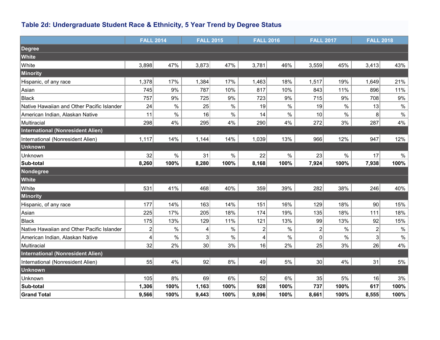## <span id="page-10-0"></span>**Table 2d: Undergraduate Student Race & Ethnicity, 5 Year Trend by Degree Status**

|                                            | <b>FALL 2014</b> |      | <b>FALL 2015</b> |      | <b>FALL 2016</b> |      | <b>FALL 2017</b> |       | <b>FALL 2018</b> |       |
|--------------------------------------------|------------------|------|------------------|------|------------------|------|------------------|-------|------------------|-------|
| <b>Degree</b>                              |                  |      |                  |      |                  |      |                  |       |                  |       |
| White                                      |                  |      |                  |      |                  |      |                  |       |                  |       |
| White                                      | 3,898            | 47%  | 3,873            | 47%  | 3,781            | 46%  | 3,559            | 45%   | 3,413            | 43%   |
| Minority                                   |                  |      |                  |      |                  |      |                  |       |                  |       |
| Hispanic, of any race                      | 1,378            | 17%  | 1,384            | 17%  | 1,463            | 18%  | 1,517            | 19%   | 1,649            | 21%   |
| Asian                                      | 745              | 9%   | 787              | 10%  | 817              | 10%  | 843              | 11%   | 896              | 11%   |
| Black                                      | 757              | 9%   | 725              | 9%   | 723              | 9%   | 715              | $9\%$ | 708              | $9\%$ |
| Native Hawaiian and Other Pacific Islander | 24               | $\%$ | 25               | $\%$ | 19               | $\%$ | 19               | $\%$  | 13               | $\%$  |
| American Indian, Alaskan Native            | 11               | $\%$ | 16               | $\%$ | 14               | $\%$ | 10               | $\%$  | 8                | $\%$  |
| Multiracial                                | 298              | 4%   | 295              | 4%   | 290              | 4%   | 272              | 3%    | 287              | 4%    |
| <b>International (Nonresident Alien)</b>   |                  |      |                  |      |                  |      |                  |       |                  |       |
| International (Nonresident Alien)          | 1,117            | 14%  | 1,144            | 14%  | 1,039            | 13%  | 966              | 12%   | 947              | 12%   |
| <b>Unknown</b>                             |                  |      |                  |      |                  |      |                  |       |                  |       |
| Unknown                                    | 32               | $\%$ | 31               | $\%$ | 22               | $\%$ | 23               | $\%$  | 17               | $\%$  |
| Sub-total                                  | 8,260            | 100% | 8,280            | 100% | 8,168            | 100% | 7,924            | 100%  | 7,938            | 100%  |
| Nondegree                                  |                  |      |                  |      |                  |      |                  |       |                  |       |
| White                                      |                  |      |                  |      |                  |      |                  |       |                  |       |
| White                                      | 531              | 41%  | 468              | 40%  | 359              | 39%  | 282              | 38%   | 246              | 40%   |
| Minority                                   |                  |      |                  |      |                  |      |                  |       |                  |       |
| Hispanic, of any race                      | 177              | 14%  | 163              | 14%  | 151              | 16%  | 129              | 18%   | 90               | 15%   |
| Asian                                      | 225              | 17%  | 205              | 18%  | 174              | 19%  | 135              | 18%   | 111              | 18%   |
| Black                                      | 175              | 13%  | 129              | 11%  | 121              | 13%  | 99               | 13%   | 92               | 15%   |
| Native Hawaiian and Other Pacific Islander | $\mathbf 2$      | $\%$ | 4                | $\%$ | $\overline{c}$   | $\%$ | 2                | $\%$  | $\overline{2}$   | $\%$  |
| American Indian, Alaskan Native            | 4                | $\%$ | 3                | $\%$ | 4                | $\%$ | 0                | $\%$  | 3                | $\%$  |
| Multiracial                                | 32               | 2%   | 30 <sup>2</sup>  | 3%   | 16               | 2%   | 25               | 3%    | 26               | 4%    |
| International (Nonresident Alien)          |                  |      |                  |      |                  |      |                  |       |                  |       |
| International (Nonresident Alien)          | 55               | 4%   | 92               | 8%   | 49               | 5%   | 30               | 4%    | 31               | 5%    |
| <b>Unknown</b>                             |                  |      |                  |      |                  |      |                  |       |                  |       |
| Unknown                                    | 105              | 8%   | 69               | 6%   | 52               | 6%   | 35               | 5%    | 16               | 3%    |
| Sub-total                                  | 1,306            | 100% | 1,163            | 100% | 928              | 100% | 737              | 100%  | 617              | 100%  |
| <b>Grand Total</b>                         | 9,566            | 100% | 9,443            | 100% | 9,096            | 100% | 8,661            | 100%  | 8,555            | 100%  |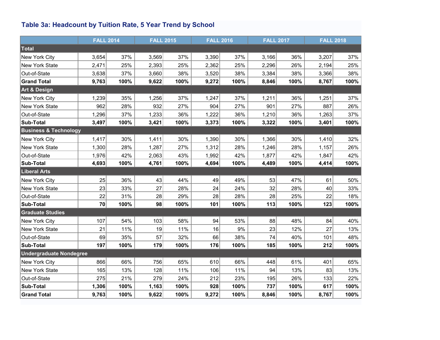## <span id="page-11-0"></span>**Table 3a: Headcount by Tuition Rate, 5 Year Trend by School**

|                                  | <b>FALL 2014</b> |      | <b>FALL 2015</b> |      | <b>FALL 2016</b> |      | <b>FALL 2017</b> |      | <b>FALL 2018</b> |      |
|----------------------------------|------------------|------|------------------|------|------------------|------|------------------|------|------------------|------|
| Total                            |                  |      |                  |      |                  |      |                  |      |                  |      |
| New York City                    | 3,654            | 37%  | 3,569            | 37%  | 3,390            | 37%  | 3,166            | 36%  | 3,207            | 37%  |
| New York State                   | 2,471            | 25%  | 2,393            | 25%  | 2,362            | 25%  | 2,296            | 26%  | 2,194            | 25%  |
| Out-of-State                     | 3,638            | 37%  | 3,660            | 38%  | 3,520            | 38%  | 3,384            | 38%  | 3,366            | 38%  |
| <b>Grand Total</b>               | 9,763            | 100% | 9,622            | 100% | 9,272            | 100% | 8,846            | 100% | 8,767            | 100% |
| <b>Art &amp; Design</b>          |                  |      |                  |      |                  |      |                  |      |                  |      |
| New York City                    | 1,239            | 35%  | 1,256            | 37%  | 1,247            | 37%  | 1,211            | 36%  | 1,251            | 37%  |
| New York State                   | 962              | 28%  | 932              | 27%  | 904              | 27%  | 901              | 27%  | 887              | 26%  |
| Out-of-State                     | 1,296            | 37%  | 1,233            | 36%  | 1,222            | 36%  | 1,210            | 36%  | 1,263            | 37%  |
| <b>Sub-Total</b>                 | 3,497            | 100% | 3,421            | 100% | 3,373            | 100% | 3,322            | 100% | 3,401            | 100% |
| <b>Business &amp; Technology</b> |                  |      |                  |      |                  |      |                  |      |                  |      |
| New York City                    | 1,417            | 30%  | 1,411            | 30%  | 1,390            | 30%  | 1,366            | 30%  | 1,410            | 32%  |
| New York State                   | 1,300            | 28%  | 1,287            | 27%  | 1,312            | 28%  | 1,246            | 28%  | 1,157            | 26%  |
| Out-of-State                     | 1,976            | 42%  | 2,063            | 43%  | 1,992            | 42%  | 1,877            | 42%  | 1,847            | 42%  |
| <b>Sub-Total</b>                 | 4,693            | 100% | 4,761            | 100% | 4,694            | 100% | 4,489            | 100% | 4,414            | 100% |
| <b>Liberal Arts</b>              |                  |      |                  |      |                  |      |                  |      |                  |      |
| New York City                    | 25               | 36%  | 43               | 44%  | 49               | 49%  | 53               | 47%  | 61               | 50%  |
| New York State                   | 23               | 33%  | 27               | 28%  | 24               | 24%  | 32               | 28%  | 40               | 33%  |
| Out-of-State                     | 22               | 31%  | 28               | 29%  | 28               | 28%  | 28               | 25%  | 22               | 18%  |
| <b>Sub-Total</b>                 | 70               | 100% | 98               | 100% | 101              | 100% | 113              | 100% | 123              | 100% |
| <b>Graduate Studies</b>          |                  |      |                  |      |                  |      |                  |      |                  |      |
| New York City                    | 107              | 54%  | 103              | 58%  | 94               | 53%  | 88               | 48%  | 84               | 40%  |
| New York State                   | 21               | 11%  | 19               | 11%  | 16               | 9%   | 23               | 12%  | 27               | 13%  |
| Out-of-State                     | 69               | 35%  | 57               | 32%  | 66               | 38%  | 74               | 40%  | 101              | 48%  |
| <b>Sub-Total</b>                 | 197              | 100% | 179              | 100% | 176              | 100% | 185              | 100% | 212              | 100% |
| <b>Undergraduate Nondegree</b>   |                  |      |                  |      |                  |      |                  |      |                  |      |
| New York City                    | 866              | 66%  | 756              | 65%  | 610              | 66%  | 448              | 61%  | 401              | 65%  |
| New York State                   | 165              | 13%  | 128              | 11%  | 106              | 11%  | 94               | 13%  | 83               | 13%  |
| Out-of-State                     | 275              | 21%  | 279              | 24%  | 212              | 23%  | 195              | 26%  | 133              | 22%  |
| Sub-Total                        | 1,306            | 100% | 1,163            | 100% | 928              | 100% | 737              | 100% | 617              | 100% |
| <b>Grand Total</b>               | 9,763            | 100% | 9,622            | 100% | 9,272            | 100% | 8,846            | 100% | 8,767            | 100% |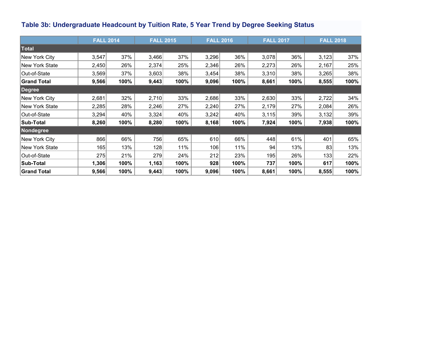## <span id="page-12-0"></span>**Table 3b: Undergraduate Headcount by Tuition Rate, 5 Year Trend by Degree Seeking Status**

|                    | <b>FALL 2014</b> |      | <b>FALL 2015</b> |      | <b>FALL 2016</b> |      |       | <b>FALL 2017</b> | <b>FALL 2018</b> |      |
|--------------------|------------------|------|------------------|------|------------------|------|-------|------------------|------------------|------|
| <b>Total</b>       |                  |      |                  |      |                  |      |       |                  |                  |      |
| New York City      | 3,547            | 37%  | 3,466            | 37%  | 3,296            | 36%  | 3,078 | 36%              | 3,123            | 37%  |
| New York State     | 2,450            | 26%  | 2,374            | 25%  | 2,346            | 26%  | 2,273 | 26%              | 2,167            | 25%  |
| Out-of-State       | 3,569            | 37%  | 3,603            | 38%  | 3,454            | 38%  | 3,310 | 38%              | 3,265            | 38%  |
| <b>Grand Total</b> | 9,566            | 100% | 9,443            | 100% | 9,096            | 100% | 8,661 | 100%             | 8,555            | 100% |
| Degree             |                  |      |                  |      |                  |      |       |                  |                  |      |
| New York City      | 2,681            | 32%  | 2,710            | 33%  | 2,686            | 33%  | 2,630 | 33%              | 2,722            | 34%  |
| New York State     | 2,285            | 28%  | 2,246            | 27%  | 2,240            | 27%  | 2,179 | 27%              | 2,084            | 26%  |
| Out-of-State       | 3,294            | 40%  | 3,324            | 40%  | 3,242            | 40%  | 3,115 | 39%              | 3,132            | 39%  |
| Sub-Total          | 8,260            | 100% | 8,280            | 100% | 8,168            | 100% | 7,924 | 100%             | 7,938            | 100% |
| <b>Nondegree</b>   |                  |      |                  |      |                  |      |       |                  |                  |      |
| New York City      | 866              | 66%  | 756              | 65%  | 610              | 66%  | 448   | 61%              | 401              | 65%  |
| New York State     | 165              | 13%  | 128              | 11%  | 106              | 11%  | 94    | 13%              | 83               | 13%  |
| Out-of-State       | 275              | 21%  | 279              | 24%  | 212              | 23%  | 195   | 26%              | 133              | 22%  |
| Sub-Total          | 1,306            | 100% | 1,163            | 100% | 928              | 100% | 737   | 100%             | 617              | 100% |
| <b>Grand Total</b> | 9,566            | 100% | 9,443            | 100% | 9,096            | 100% | 8,661 | 100%             | 8,555            | 100% |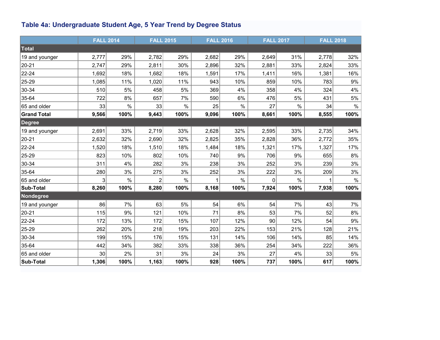## <span id="page-13-0"></span>**Table 4a: Undergraduate Student Age, 5 Year Trend by Degree Status**

|                    | <b>FALL 2014</b> |      | <b>FALL 2015</b> |      | <b>FALL 2016</b> |      | <b>FALL 2017</b> |               | <b>FALL 2018</b> |       |
|--------------------|------------------|------|------------------|------|------------------|------|------------------|---------------|------------------|-------|
| Total              |                  |      |                  |      |                  |      |                  |               |                  |       |
| 19 and younger     | 2,777            | 29%  | 2,782            | 29%  | 2,682            | 29%  | 2,649            | 31%           | 2,778            | 32%   |
| $ 20-21$           | 2,747            | 29%  | 2,811            | 30%  | 2,896            | 32%  | 2,881            | 33%           | 2,824            | 33%   |
| 22-24              | 1,692            | 18%  | 1,682            | 18%  | 1,591            | 17%  | 1,411            | 16%           | 1,381            | 16%   |
| 25-29              | 1,085            | 11%  | 1,020            | 11%  | 943              | 10%  | 859              | 10%           | 783              | $9\%$ |
| 30-34              | 510              | 5%   | 458              | 5%   | 369              | 4%   | 358              | 4%            | 324              | 4%    |
| 35-64              | 722              | 8%   | 657              | 7%   | 590              | 6%   | 476              | 5%            | 431              | 5%    |
| 65 and older       | 33               | $\%$ | 33               | $\%$ | 25               | $\%$ | 27               | $\frac{0}{0}$ | 34               | $\%$  |
| <b>Grand Total</b> | 9,566            | 100% | 9,443            | 100% | 9,096            | 100% | 8,661            | 100%          | 8,555            | 100%  |
| <b>Degree</b>      |                  |      |                  |      |                  |      |                  |               |                  |       |
| 19 and younger     | 2,691            | 33%  | 2,719            | 33%  | 2,628            | 32%  | 2,595            | 33%           | 2,735            | 34%   |
| 20-21              | 2,632            | 32%  | 2,690            | 32%  | 2,825            | 35%  | 2,828            | 36%           | 2,772            | 35%   |
| 22-24              | 1,520            | 18%  | 1,510            | 18%  | 1,484            | 18%  | 1,321            | 17%           | 1,327            | 17%   |
| 25-29              | 823              | 10%  | 802              | 10%  | 740              | 9%   | 706              | 9%            | 655              | $8%$  |
| 30-34              | 311              | 4%   | 282              | 3%   | 238              | 3%   | 252              | 3%            | 239              | 3%    |
| 35-64              | 280              | 3%   | 275              | 3%   | 252              | 3%   | 222              | 3%            | 209              | $3%$  |
| 65 and older       | 3                | $\%$ | $\overline{2}$   | $\%$ |                  | $\%$ | 0                | $\%$          |                  | $\%$  |
| Sub-Total          | 8,260            | 100% | 8,280            | 100% | 8,168            | 100% | 7,924            | 100%          | 7,938            | 100%  |
| Nondegree          |                  |      |                  |      |                  |      |                  |               |                  |       |
| 19 and younger     | 86               | 7%   | 63               | 5%   | 54               | 6%   | 54               | 7%            | 43               | 7%    |
| 20-21              | 115              | 9%   | 121              | 10%  | 71               | 8%   | 53               | 7%            | 52               | $8\%$ |
| 22-24              | 172              | 13%  | 172              | 15%  | 107              | 12%  | 90               | 12%           | 54               | $9\%$ |
| 25-29              | 262              | 20%  | 218              | 19%  | 203              | 22%  | 153              | 21%           | 128              | 21%   |
| 30-34              | 199              | 15%  | 176              | 15%  | 131              | 14%  | 106              | 14%           | 85               | 14%   |
| 35-64              | 442              | 34%  | 382              | 33%  | 338              | 36%  | 254              | 34%           | 222              | 36%   |
| 65 and older       | 30               | 2%   | 31               | 3%   | 24               | 3%   | 27               | 4%            | 33               | $5\%$ |
| Sub-Total          | 1,306            | 100% | 1,163            | 100% | 928              | 100% | 737              | 100%          | 617              | 100%  |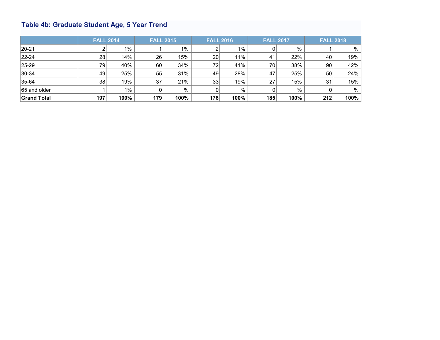## <span id="page-14-0"></span>**Table 4b: Graduate Student Age, 5 Year Trend**

|                    | <b>FALL 2014</b> |       | <b>FALL 2015</b> |       |                 | <b>FALL 2016</b> | <b>FALL 2017</b> |      |                 | <b>FALL 2018</b> |
|--------------------|------------------|-------|------------------|-------|-----------------|------------------|------------------|------|-----------------|------------------|
| $ 20-21 $          | 2                | $1\%$ |                  | $1\%$ |                 | $1\%$            |                  | %    |                 | %                |
| $ 22 - 24 $        | 28               | 14%   | 26               | 15%   | 20 <sub>1</sub> | 11%              | 41               | 22%  | 40              | 19%              |
| $ 25-29 $          | 79               | 40%   | 60               | 34%   | 72              | 41%              | 70               | 38%  | 90 <sub>1</sub> | 42%              |
| $ 30-34 $          | 49               | 25%   | 55               | 31%   | 49              | 28%              | 47               | 25%  | 50              | 24%              |
| $ 35-64 $          | 38               | 19%   | 37               | 21%   | 33              | 19%              | 27               | 15%  | 31              | 15%              |
| 65 and older       |                  | $1\%$ |                  | $\%$  |                 | %                |                  | $\%$ |                 | %                |
| <b>Grand Total</b> | 197              | 100%  | 179              | 100%  | 176             | 100%             | 185              | 100% | 212             | 100%             |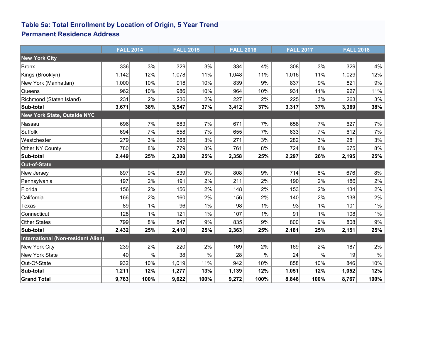### <span id="page-15-0"></span>**Table 5a: Total Enrollment by Location of Origin, 5 Year Trend Permanent Residence Address**

|                                    | <b>FALL 2014</b> |       | <b>FALL 2015</b> |       |       | <b>FALL 2016</b> | <b>FALL 2017</b> |      | <b>FALL 2018</b> |       |
|------------------------------------|------------------|-------|------------------|-------|-------|------------------|------------------|------|------------------|-------|
| <b>New York City</b>               |                  |       |                  |       |       |                  |                  |      |                  |       |
| Bronx                              | 336              | 3%    | 329              | 3%    | 334   | 4%               | 308              | 3%   | 329              | 4%    |
| Kings (Brooklyn)                   | 1,142            | 12%   | 1,078            | 11%   | 1,048 | 11%              | 1,016            | 11%  | 1,029            | 12%   |
| New York (Manhattan)               | 1,000            | 10%   | 918              | 10%   | 839   | 9%               | 837              | 9%   | 821              | $9\%$ |
| Queens                             | 962              | 10%   | 986              | 10%   | 964   | 10%              | 931              | 11%  | 927              | 11%   |
| Richmond (Staten Island)           | 231              | 2%    | 236              | 2%    | 227   | 2%               | 225              | 3%   | 263              | 3%    |
| Sub-total                          | 3,671            | 38%   | 3,547            | 37%   | 3,412 | 37%              | 3,317            | 37%  | 3,369            | 38%   |
| New York State, Outside NYC        |                  |       |                  |       |       |                  |                  |      |                  |       |
| Nassau                             | 696              | 7%    | 683              | 7%    | 671   | 7%               | 658              | 7%   | 627              | 7%    |
| Suffolk                            | 694              | 7%    | 658              | 7%    | 655   | 7%               | 633              | 7%   | 612              | 7%    |
| Westchester                        | 279              | 3%    | 268              | 3%    | 271   | 3%               | 282              | 3%   | 281              | $3\%$ |
| Other NY County                    | 780              | 8%    | 779              | 8%    | 761   | 8%               | 724              | 8%   | 675              | $8\%$ |
| Sub-total                          | 2,449            | 25%   | 2,388            | 25%   | 2,358 | 25%              | 2,297            | 26%  | 2,195            | 25%   |
| Out-of-State                       |                  |       |                  |       |       |                  |                  |      |                  |       |
| New Jersey                         | 897              | $9\%$ | 839              | 9%    | 808   | 9%               | 714              | 8%   | 676              | 8%    |
| Pennsylvania                       | 197              | 2%    | 191              | 2%    | 211   | 2%               | 190              | 2%   | 186              | 2%    |
| Florida                            | 156              | 2%    | 156              | 2%    | 148   | 2%               | 153              | 2%   | 134              | 2%    |
| California                         | 166              | 2%    | 160              | 2%    | 156   | 2%               | 140              | 2%   | 138              | $2\%$ |
| Texas                              | 89               | 1%    | 96               | $1\%$ | 98    | $1\%$            | 93               | 1%   | 101              | $1\%$ |
| Connecticut                        | 128              | 1%    | 121              | $1\%$ | 107   | 1%               | 91               | 1%   | 108              | $1\%$ |
| Other States                       | 799              | 8%    | 847              | $9\%$ | 835   | 9%               | 800              | 9%   | 808              | $9\%$ |
| Sub-total                          | 2,432            | 25%   | 2,410            | 25%   | 2,363 | 25%              | 2,181            | 25%  | 2,151            | 25%   |
| International (Non-resident Alien) |                  |       |                  |       |       |                  |                  |      |                  |       |
| New York City                      | 239              | 2%    | 220              | 2%    | 169   | 2%               | 169              | 2%   | 187              | 2%    |
| New York State                     | 40               | $\%$  | 38               | $\%$  | 28    | $\%$             | 24               | $\%$ | 19               | $\%$  |
| Out-Of-State                       | 932              | 10%   | 1,019            | 11%   | 942   | 10%              | 858              | 10%  | 846              | 10%   |
| Sub-total                          | 1,211            | 12%   | 1,277            | 13%   | 1,139 | 12%              | 1,051            | 12%  | 1,052            | 12%   |
| <b>Grand Total</b>                 | 9,763            | 100%  | 9,622            | 100%  | 9,272 | 100%             | 8,846            | 100% | 8,767            | 100%  |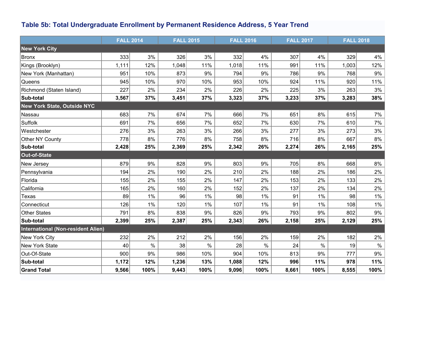## **Table 5b: Total Undergraduate Enrollment by Permanent Residence Address, 5 Year Trend**

|                                    | <b>FALL 2014</b> |       | <b>FALL 2015</b> |       |       | <b>FALL 2016</b> |       | <b>FALL 2017</b> | <b>FALL 2018</b> |       |
|------------------------------------|------------------|-------|------------------|-------|-------|------------------|-------|------------------|------------------|-------|
| <b>New York City</b>               |                  |       |                  |       |       |                  |       |                  |                  |       |
| Bronx                              | 333              | 3%    | 326              | 3%    | 332   | 4%               | 307   | 4%               | 329              | 4%    |
| Kings (Brooklyn)                   | 1,111            | 12%   | 1,048            | 11%   | 1,018 | 11%              | 991   | 11%              | 1,003            | 12%   |
| New York (Manhattan)               | 951              | 10%   | 873              | $9\%$ | 794   | 9%               | 786   | 9%               | 768              | $9\%$ |
| Queens                             | 945              | 10%   | 970              | 10%   | 953   | 10%              | 924   | 11%              | 920              | 11%   |
| Richmond (Staten Island)           | 227              | 2%    | 234              | 2%    | 226   | 2%               | 225   | 3%               | 263              | 3%    |
| Sub-total                          | 3,567            | 37%   | 3,451            | 37%   | 3,323 | 37%              | 3,233 | 37%              | 3,283            | 38%   |
| New York State, Outside NYC        |                  |       |                  |       |       |                  |       |                  |                  |       |
| Nassau                             | 683              | 7%    | 674              | 7%    | 666   | 7%               | 651   | 8%               | 615              | 7%    |
| Suffolk                            | 691              | 7%    | 656              | 7%    | 652   | 7%               | 630   | 7%               | 610              | 7%    |
| Westchester                        | 276              | 3%    | 263              | 3%    | 266   | 3%               | 277   | 3%               | 273              | 3%    |
| Other NY County                    | 778              | 8%    | 776              | 8%    | 758   | 8%               | 716   | 8%               | 667              | 8%    |
| Sub-total                          | 2,428            | 25%   | 2,369            | 25%   | 2,342 | 26%              | 2,274 | 26%              | 2,165            | 25%   |
| Out-of-State                       |                  |       |                  |       |       |                  |       |                  |                  |       |
| New Jersey                         | 879              | 9%    | 828              | 9%    | 803   | 9%               | 705   | 8%               | 668              | 8%    |
| Pennsylvania                       | 194              | 2%    | 190              | 2%    | 210   | 2%               | 188   | 2%               | 186              | 2%    |
| Florida                            | 155              | 2%    | 155              | 2%    | 147   | 2%               | 153   | 2%               | 133              | 2%    |
| California                         | 165              | 2%    | 160              | 2%    | 152   | 2%               | 137   | 2%               | 134              | 2%    |
| Texas                              | 89               | $1\%$ | 96               | 1%    | 98    | 1%               | 91    | 1%               | 98               | 1%    |
| Connecticut                        | 126              | $1\%$ | 120              | 1%    | 107   | 1%               | 91    | 1%               | 108              | $1\%$ |
| Other States                       | 791              | 8%    | 838              | $9\%$ | 826   | 9%               | 793   | 9%               | 802              | $9\%$ |
| Sub-total                          | 2,399            | 25%   | 2,387            | 25%   | 2,343 | 26%              | 2,158 | 25%              | 2,129            | 25%   |
| International (Non-resident Alien) |                  |       |                  |       |       |                  |       |                  |                  |       |
| New York City                      | 232              | 2%    | 212              | 2%    | 156   | 2%               | 159   | 2%               | 182              | 2%    |
| New York State                     | 40               | $\%$  | 38               | $\%$  | 28    | $\%$             | 24    | $\frac{0}{0}$    | 19               | $\%$  |
| Out-Of-State                       | 900              | 9%    | 986              | 10%   | 904   | 10%              | 813   | 9%               | 777              | $9\%$ |
| Sub-total                          | 1,172            | 12%   | 1,236            | 13%   | 1,088 | 12%              | 996   | 11%              | 978              | 11%   |
| <b>Grand Total</b>                 | 9,566            | 100%  | 9,443            | 100%  | 9,096 | 100%             | 8,661 | 100%             | 8,555            | 100%  |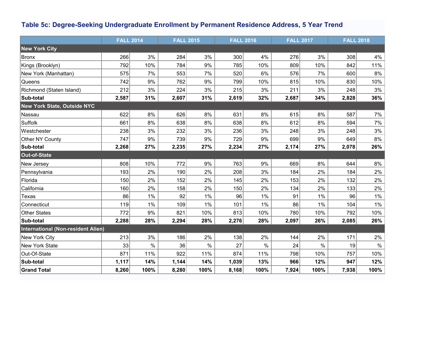## <span id="page-17-0"></span>**Table 5c: Degree-Seeking Undergraduate Enrollment by Permanent Residence Address, 5 Year Trend**

|                                    | <b>FALL 2014</b> |      | <b>FALL 2015</b> |       |       | <b>FALL 2016</b> |       | <b>FALL 2017</b> | <b>FALL 2018</b> |       |
|------------------------------------|------------------|------|------------------|-------|-------|------------------|-------|------------------|------------------|-------|
| <b>New York City</b>               |                  |      |                  |       |       |                  |       |                  |                  |       |
| Bronx                              | 266              | 3%   | 284              | 3%    | 300   | 4%               | 276   | 3%               | 308              | 4%    |
| Kings (Brooklyn)                   | 792              | 10%  | 784              | 9%    | 785   | 10%              | 809   | 10%              | 842              | 11%   |
| New York (Manhattan)               | 575              | 7%   | 553              | 7%    | 520   | 6%               | 576   | 7%               | 600              | 8%    |
| Queens                             | 742              | 9%   | 762              | 9%    | 799   | 10%              | 815   | 10%              | 830              | 10%   |
| Richmond (Staten Island)           | 212              | 3%   | 224              | 3%    | 215   | 3%               | 211   | 3%               | 248              | 3%    |
| Sub-total                          | 2,587            | 31%  | 2,607            | 31%   | 2,619 | 32%              | 2,687 | 34%              | 2,828            | 36%   |
| <b>New York State, Outside NYC</b> |                  |      |                  |       |       |                  |       |                  |                  |       |
| Nassau                             | 622              | $8%$ | 626              | 8%    | 631   | $8%$             | 615   | 8%               | 587              | 7%    |
| Suffolk                            | 661              | 8%   | 638              | 8%    | 638   | $8\%$            | 612   | 8%               | 594              | 7%    |
| Westchester                        | 238              | 3%   | 232              | 3%    | 236   | 3%               | 248   | 3%               | 248              | 3%    |
| Other NY County                    | 747              | 9%   | 739              | 9%    | 729   | 9%               | 699   | 9%               | 649              | 8%    |
| Sub-total                          | 2,268            | 27%  | 2,235            | 27%   | 2,234 | 27%              | 2,174 | 27%              | 2,078            | 26%   |
| Out-of-State                       |                  |      |                  |       |       |                  |       |                  |                  |       |
| New Jersey                         | 808              | 10%  | 772              | 9%    | 763   | 9%               | 669   | 8%               | 644              | $8\%$ |
| Pennsylvania                       | 193              | 2%   | 190              | 2%    | 208   | 3%               | 184   | 2%               | 184              | 2%    |
| Florida                            | 150              | 2%   | 152              | 2%    | 145   | 2%               | 153   | 2%               | 132              | 2%    |
| California                         | 160              | 2%   | 158              | 2%    | 150   | 2%               | 134   | 2%               | 133              | 2%    |
| Texas                              | 86               | 1%   | 92               | $1\%$ | 96    | 1%               | 91    | 1%               | 96               | $1\%$ |
| Connecticut                        | 119              | 1%   | 109              | $1\%$ | 101   | 1%               | 86    | 1%               | 104              | $1\%$ |
| Other States                       | 772              | 9%   | 821              | 10%   | 813   | 10%              | 780   | 10%              | 792              | 10%   |
| Sub-total                          | 2,288            | 28%  | 2,294            | 28%   | 2,276 | 28%              | 2,097 | 26%              | 2,085            | 26%   |
| International (Non-resident Alien) |                  |      |                  |       |       |                  |       |                  |                  |       |
| New York City                      | 213              | 3%   | 186              | 2%    | 138   | 2%               | 144   | 2%               | 171              | 2%    |
| New York State                     | 33               | $\%$ | 36               | $\%$  | 27    | $\%$             | 24    | $\%$             | 19               | $\%$  |
| Out-Of-State                       | 871              | 11%  | 922              | 11%   | 874   | 11%              | 798   | 10%              | 757              | 10%   |
| Sub-total                          | 1,117            | 14%  | 1,144            | 14%   | 1,039 | 13%              | 966   | 12%              | 947              | 12%   |
| <b>Grand Total</b>                 | 8,260            | 100% | 8,280            | 100%  | 8,168 | 100%             | 7,924 | 100%             | 7,938            | 100%  |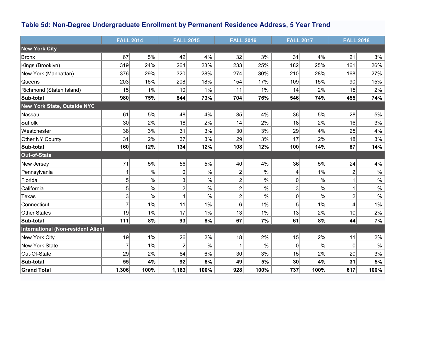## <span id="page-18-0"></span>**Table 5d: Non-Degree Undergraduate Enrollment by Permanent Residence Address, 5 Year Trend**

|                                    | <b>FALL 2014</b> |       | <b>FALL 2015</b> |       |                         | <b>FALL 2016</b> |     | <b>FALL 2017</b> | <b>FALL 2018</b> |       |
|------------------------------------|------------------|-------|------------------|-------|-------------------------|------------------|-----|------------------|------------------|-------|
| <b>New York City</b>               |                  |       |                  |       |                         |                  |     |                  |                  |       |
| Bronx                              | 67               | 5%    | 42               | 4%    | 32                      | 3%               | 31  | 4%               | 21               | 3%    |
| Kings (Brooklyn)                   | 319              | 24%   | 264              | 23%   | 233                     | 25%              | 182 | 25%              | 161              | 26%   |
| New York (Manhattan)               | 376              | 29%   | 320              | 28%   | 274                     | 30%              | 210 | 28%              | 168              | 27%   |
| Queens                             | 203              | 16%   | 208              | 18%   | 154                     | 17%              | 109 | 15%              | 90               | 15%   |
| Richmond (Staten Island)           | 15               | $1\%$ | 10               | $1\%$ | 11                      | $1\%$            | 14  | 2%               | 15               | 2%    |
| Sub-total                          | 980              | 75%   | 844              | 73%   | 704                     | 76%              | 546 | 74%              | 455              | 74%   |
| <b>New York State, Outside NYC</b> |                  |       |                  |       |                         |                  |     |                  |                  |       |
| Nassau                             | 61               | 5%    | 48               | 4%    | 35                      | 4%               | 36  | 5%               | 28               | $5\%$ |
| Suffolk                            | 30               | 2%    | 18               | 2%    | 14                      | 2%               | 18  | 2%               | 16               | 3%    |
| Westchester                        | 38               | 3%    | 31               | 3%    | 30 <sup>°</sup>         | 3%               | 29  | 4%               | 25               | $4\%$ |
| Other NY County                    | 31               | 2%    | 37               | 3%    | 29                      | 3%               | 17  | 2%               | 18               | $3\%$ |
| Sub-total                          | 160              | 12%   | 134              | 12%   | 108                     | 12%              | 100 | 14%              | 87               | 14%   |
| Out-of-State                       |                  |       |                  |       |                         |                  |     |                  |                  |       |
| New Jersey                         | 71               | 5%    | 56               | $5\%$ | 40                      | 4%               | 36  | 5%               | 24               | 4%    |
| Pennsylvania                       | 1                | $\%$  | 0                | $\%$  | $\overline{c}$          | $\%$             | 4   | 1%               | $\overline{c}$   | $\%$  |
| Florida                            | 5 <sup>1</sup>   | $\%$  | 3                | $\%$  | $\overline{\mathbf{c}}$ | $\%$             | 0   | $\%$             | 1                | $\%$  |
| California                         | 5                | $\%$  | $\overline{2}$   | $\%$  | $\overline{2}$          | $\%$             | 3   | $\%$             | $\mathbf 1$      | $\%$  |
| Texas                              | 3                | $\%$  | 4                | $\%$  | $\overline{2}$          | $\%$             | 0   | $\frac{0}{0}$    | $\overline{2}$   | $\%$  |
| Connecticut                        | $\overline{7}$   | 1%    | 11               | 1%    | 6                       | 1%               | 5   | 1%               | 4                | $1\%$ |
| Other States                       | 19               | $1\%$ | 17               | 1%    | 13                      | 1%               | 13  | 2%               | 10               | 2%    |
| Sub-total                          | 111              | 8%    | 93               | 8%    | 67                      | 7%               | 61  | 8%               | 44               | 7%    |
| International (Non-resident Alien) |                  |       |                  |       |                         |                  |     |                  |                  |       |
| New York City                      | 19               | 1%    | 26               | 2%    | 18                      | 2%               | 15  | 2%               | 11               | 2%    |
| New York State                     | $\overline{7}$   | 1%    | $\overline{2}$   | $\%$  |                         | $\%$             | 0   | $\%$             | $\overline{0}$   | $\%$  |
| Out-Of-State                       | 29               | 2%    | 64               | $6\%$ | 30                      | 3%               | 15  | 2%               | 20               | $3\%$ |
| Sub-total                          | 55               | 4%    | 92               | 8%    | 49                      | 5%               | 30  | 4%               | 31               | 5%    |
| <b>Grand Total</b>                 | 1,306            | 100%  | 1,163            | 100%  | 928                     | 100%             | 737 | 100%             | 617              | 100%  |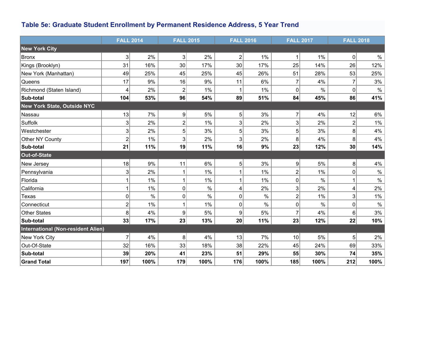## <span id="page-19-0"></span>**Table 5e: Graduate Student Enrollment by Permanent Residence Address, 5 Year Trend**

|                                    | <b>FALL 2014</b> |      | <b>FALL 2015</b> |               |                | <b>FALL 2016</b> | <b>FALL 2017</b> |               | <b>FALL 2018</b> |       |
|------------------------------------|------------------|------|------------------|---------------|----------------|------------------|------------------|---------------|------------------|-------|
| <b>New York City</b>               |                  |      |                  |               |                |                  |                  |               |                  |       |
| Bronx                              | $\mathbf{3}$     | 2%   | $\mathbf{3}$     | 2%            | $\overline{2}$ | 1%               | 1                | 1%            | 0                | $\%$  |
| Kings (Brooklyn)                   | 31               | 16%  | 30               | 17%           | 30             | 17%              | 25               | 14%           | 26               | 12%   |
| New York (Manhattan)               | 49               | 25%  | 45               | 25%           | 45             | 26%              | 51               | 28%           | 53               | 25%   |
| Queens                             | 17               | 9%   | 16               | 9%            | 11             | 6%               |                  | 4%            | $\overline{7}$   | 3%    |
| Richmond (Staten Island)           | 4                | 2%   | 2                | 1%            |                | 1%               | $\Omega$         | $\%$          | $\pmb{0}$        | $\%$  |
| Sub-total                          | 104              | 53%  | 96               | 54%           | 89             | 51%              | 84               | 45%           | 86               | 41%   |
| New York State, Outside NYC        |                  |      |                  |               |                |                  |                  |               |                  |       |
| Nassau                             | 13               | 7%   | 9                | 5%            | 5 <sup>2</sup> | 3%               | $\overline{7}$   | 4%            | 12               | $6\%$ |
| Suffolk                            | 3                | 2%   | $\overline{c}$   | 1%            | 3              | 2%               | 3                | 2%            | $\overline{c}$   | $1\%$ |
| Westchester                        | 3                | 2%   | 5                | 3%            | 5              | 3%               | 5                | 3%            | 8                | $4\%$ |
| Other NY County                    | $\overline{c}$   | 1%   | 3                | 2%            | 3              | 2%               | 8                | 4%            | 8                | 4%    |
| Sub-total                          | 21               | 11%  | 19               | 11%           | 16             | 9%               | 23               | 12%           | 30               | 14%   |
| Out-of-State                       |                  |      |                  |               |                |                  |                  |               |                  |       |
| New Jersey                         | 18               | 9%   | 11               | 6%            | 5 <sup>2</sup> | 3%               | 9                | 5%            | 8                | 4%    |
| Pennsylvania                       | 3                | 2%   |                  | 1%            |                | 1%               | $\overline{c}$   | 1%            | 0                | $\%$  |
| Florida                            |                  | 1%   |                  | 1%            |                | 1%               | 0                | $\frac{0}{0}$ |                  | $\%$  |
| California                         | 1                | 1%   | $\mathbf 0$      | $\frac{0}{0}$ | 4              | 2%               | 3                | 2%            | 4                | 2%    |
| Texas                              | 0                | $\%$ | 0                | $\%$          | $\pmb{0}$      | $\%$             | 2                | 1%            | 3                | $1\%$ |
| Connecticut                        | $\overline{2}$   | 1%   |                  | 1%            | $\mathbf 0$    | $\%$             | $\Omega$         | $\frac{0}{0}$ | 0                | $\%$  |
| Other States                       | 8                | 4%   | 9                | 5%            | $9\,$          | 5%               |                  | 4%            | 6                | 3%    |
| Sub-total                          | 33               | 17%  | 23               | 13%           | 20             | 11%              | 23               | 12%           | 22               | 10%   |
| International (Non-resident Alien) |                  |      |                  |               |                |                  |                  |               |                  |       |
| New York City                      | 7                | 4%   | 8                | 4%            | 13             | 7%               | 10               | 5%            | 5                | 2%    |
| Out-Of-State                       | 32               | 16%  | 33               | 18%           | 38             | 22%              | 45               | 24%           | 69               | 33%   |
| Sub-total                          | 39               | 20%  | 41               | 23%           | 51             | 29%              | 55               | 30%           | 74               | 35%   |
| <b>Grand Total</b>                 | 197              | 100% | 179              | 100%          | 176            | 100%             | 185              | 100%          | 212              | 100%  |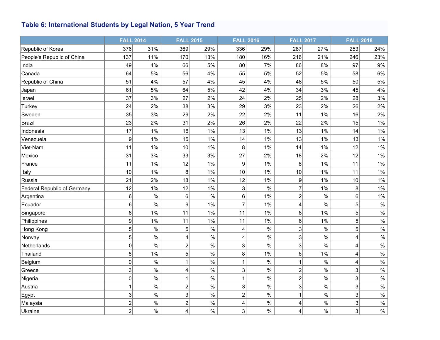## **Table 6: International Students by Legal Nation, 5 Year Trend**

|                                    | <b>FALL 2014</b>          |               |                | <b>FALL 2015</b> |                | <b>FALL 2016</b> | <b>FALL 2017</b>        |      | <b>FALL 2018</b>          |       |
|------------------------------------|---------------------------|---------------|----------------|------------------|----------------|------------------|-------------------------|------|---------------------------|-------|
| Republic of Korea                  | 376                       | 31%           | 369            | 29%              | 336            | 29%              | 287                     | 27%  | 253                       | 24%   |
| People's Republic of China         | 137                       | 11%           | 170            | 13%              | 180            | 16%              | 216                     | 21%  | 246                       | 23%   |
| India                              | 49                        | 4%            | 66             | 5%               | 80             | 7%               | 86                      | 8%   | 97                        | $9\%$ |
| Canada                             | 64                        | 5%            | 56             | 4%               | 55             | 5%               | 52                      | 5%   | 58                        | $6\%$ |
| Republic of China                  | 51                        | 4%            | 57             | 4%               | 45             | 4%               | 48                      | 5%   | 50                        | 5%    |
| Japan                              | 61                        | 5%            | 64             | 5%               | 42             | 4%               | 34                      | 3%   | 45                        | 4%    |
| Israel                             | 37                        | 3%            | 27             | 2%               | 24             | 2%               | 25                      | 2%   | 28                        | 3%    |
| Turkey                             | 24                        | 2%            | 38             | 3%               | 29             | 3%               | 23                      | 2%   | 26                        | 2%    |
| Sweden                             | 35                        | 3%            | 29             | 2%               | 22             | 2%               | 11                      | 1%   | 16                        | 2%    |
| <b>Brazil</b>                      | 23                        | 2%            | 31             | 2%               | 26             | 2%               | 22                      | 2%   | 15                        | $1\%$ |
| Indonesia                          | 17                        | 1%            | 16             | 1%               | 13             | 1%               | 13                      | 1%   | 14                        | $1\%$ |
| Venezuela                          | $\boldsymbol{9}$          | 1%            | 15             | 1%               | 14             | 1%               | 13                      | 1%   | 13                        | $1\%$ |
| Viet-Nam                           | 11                        | 1%            | 10             | 1%               | 8 <sup>1</sup> | 1%               | 14                      | 1%   | 12                        | 1%    |
| Mexico                             | 31                        | 3%            | 33             | 3%               | 27             | 2%               | 18                      | 2%   | 12                        | $1\%$ |
| France                             | 11                        | 1%            | 12             | 1%               | $\mathsf{g}$   | 1%               | 8                       | 1%   | 11                        | $1\%$ |
| Italy                              | 10                        | 1%            | 8              | 1%               | 10             | 1%               | 10                      | 1%   | 11                        | $1\%$ |
| Russia                             | 21                        | 2%            | 18             | 1%               | 12             | 1%               | 9                       | 1%   | 10                        | 1%    |
| <b>Federal Republic of Germany</b> | 12                        | 1%            | 12             | 1%               | 3 <sup>2</sup> | $\%$             | $\overline{7}$          | 1%   | 8 <sup>2</sup>            | $1\%$ |
| Argentina                          | 6                         | $\%$          | 6 <sup>1</sup> | $\%$             | 6 <sup>1</sup> | 1%               | $\overline{2}$          | $\%$ | 6                         | $1\%$ |
| Ecuador                            | $\,6$                     | $\%$          | 9              | 1%               | $\overline{7}$ | 1%               | 4                       | $\%$ | 5                         | $\%$  |
| Singapore                          | 8                         | 1%            | 11             | 1%               | 11             | 1%               | 8                       | 1%   | 5 <sup>2</sup>            | $\%$  |
| Philippines                        | $\boldsymbol{9}$          | 1%            | 11             | 1%               | 11             | 1%               | $6\phantom{1}6$         | 1%   | 5 <sup>2</sup>            | $\%$  |
| Hong Kong                          | $\sqrt{5}$                | $\%$          | 5              | $\%$             | 4              | $\%$             | 3                       | $\%$ | 5 <sup>2</sup>            | $\%$  |
| Norway                             | 5                         | $\%$          | 4              | $\%$             | 4              | $\%$             | 3                       | $\%$ | 4                         | $\%$  |
| Netherlands                        | 0                         | $\%$          | $\overline{2}$ | $\%$             | $\overline{3}$ | $\%$             | 3                       | $\%$ | 4                         | $\%$  |
| Thailand                           | 8                         | 1%            | 5              | $\%$             | 8              | $1\%$            | 6                       | 1%   | 4                         | $\%$  |
| Belgium                            | $\mathbf 0$               | $\frac{0}{0}$ |                | $\frac{0}{0}$    | 1              | $\%$             | 1                       | $\%$ | $\vert 4 \vert$           | $\%$  |
| Greece                             | $\ensuremath{\mathsf{3}}$ | $\%$          | 4              | $\%$             | $\mathbf{3}$   | $\%$             | $\overline{2}$          | $\%$ | $\ensuremath{\mathsf{3}}$ | $\%$  |
| Nigeria                            | $\mathbf 0$               | $\%$          |                | $\%$             | 1              | $\%$             | $\overline{\mathbf{c}}$ | $\%$ | 3                         | $\%$  |
| Austria                            | $\mathbf{1}$              | $\%$          | $\overline{2}$ | $\%$             | $\mathbf{3}$   | $\%$             | 3                       | $\%$ | $\mathbf 3$               | $\%$  |
| Egypt                              | $\mathbf 3$               | $\%$          | 3              | $\%$             | $\mathbf{2}$   | $\%$             | 1                       | $\%$ | 3                         | $\%$  |
| Malaysia                           | $\overline{2}$            | $\%$          | $\overline{2}$ | $\%$             | 4              | $\%$             | 4                       | $\%$ | $\mathbf{3}$              | $\%$  |
| Ukraine                            | $\boldsymbol{2}$          | $\frac{0}{0}$ | 4              | $\%$             | 3              | $\%$             | 4                       | $\%$ | 3 <sup>2</sup>            | $\%$  |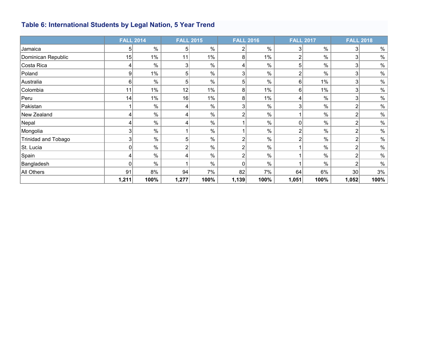## <span id="page-21-0"></span>**Table 6: International Students by Legal Nation, 5 Year Trend**

|                     | <b>FALL 2014</b> |               | <b>FALL 2015</b> |       |       | <b>FALL 2016</b> | <b>FALL 2017</b> |       |                | <b>FALL 2018</b> |
|---------------------|------------------|---------------|------------------|-------|-------|------------------|------------------|-------|----------------|------------------|
| Jamaica             | 5                | $\frac{0}{0}$ | 51               | $\%$  |       | $\%$             |                  | $\%$  | 3              | $\%$             |
| Dominican Republic  | 15               | $1\%$         | 11               | $1\%$ | 8     | $1\%$            | 2                | $\%$  | 3              | $\%$             |
| Costa Rica          | 4                | $\%$          | 3                | %     |       | %                | 5                | $\%$  | 3              | $\%$             |
| Poland              | $\overline{9}$   | $1\%$         | 51               | %     | 3     | %                | ົ                | $\%$  | 3              | $\%$             |
| Australia           | 6                | $\frac{0}{0}$ | 51               | $\%$  | 5     | %                | 6                | $1\%$ | 3              | $\%$             |
| Colombia            | 11               | 1%            | 12               | $1\%$ | 8     | $1\%$            | 6                | 1%    | 3              | $\%$             |
| Peru                | 14               | 1%            | 16               | $1\%$ | 8     | $1\%$            |                  | $\%$  | 3              | $\%$             |
| Pakistan            |                  | $\%$          |                  | %     |       | %                | 3                | $\%$  | 2              | $\%$             |
| New Zealand         | 4                | $\%$          |                  | $\%$  |       | $\%$             |                  | $\%$  | 2              | $\%$             |
| Nepal               | 4                | $\%$          |                  | $\%$  |       | $\%$             | 0                | $\%$  | 2              | $\%$             |
| Mongolia            | 3 <sub>l</sub>   | $\%$          |                  | $\%$  |       | $\%$             | າ                | %     | $\overline{2}$ | $\%$             |
| Trinidad and Tobago | 3                | $\%$          |                  | $\%$  |       | $\%$             |                  | $\%$  | $\overline{2}$ | $\%$             |
| St. Lucia           | 0                | $\%$          |                  | $\%$  | ◠     | $\%$             |                  | $\%$  | $\overline{2}$ | $\%$             |
| Spain               |                  | $\%$          |                  | $\%$  |       | $\%$             |                  | %     | $\overline{c}$ | $\%$             |
| Bangladesh          | 0                | $\%$          |                  | %     |       | %                |                  | $\%$  | 2              | $\%$             |
| All Others          | 91               | 8%            | 94               | 7%    | 82    | 7%               | 64               | 6%    | 30             | 3%               |
|                     | 1,211            | 100%          | 1,277            | 100%  | 1,139 | 100%             | 1,051            | 100%  | 1,052          | 100%             |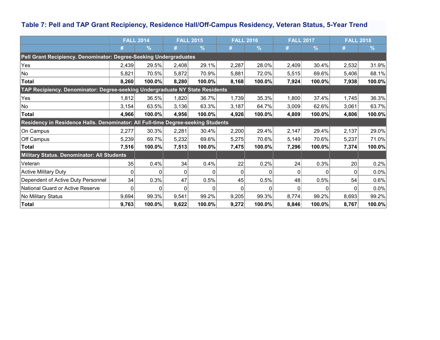## <span id="page-22-0"></span>**Table 7: Pell and TAP Grant Recipiency, Residence Hall/Off-Campus Residency, Veteran Status, 5-Year Trend**

|                                                                                  | <b>FALL 2014</b> |               | <b>FALL 2015</b> |               | <b>FALL 2016</b> |        | <b>FALL 2017</b> |               | <b>FALL 2018</b> |               |
|----------------------------------------------------------------------------------|------------------|---------------|------------------|---------------|------------------|--------|------------------|---------------|------------------|---------------|
|                                                                                  |                  | $\frac{9}{6}$ |                  | $\frac{9}{6}$ |                  | $\%$   | #                | $\frac{9}{6}$ |                  | $\frac{9}{6}$ |
| Pell Grant Recipiency. Denominator: Degree-Seeking Undergraduates                |                  |               |                  |               |                  |        |                  |               |                  |               |
| Yes                                                                              | 2,439            | 29.5%         | 2,408            | 29.1%         | 2,287            | 28.0%  | 2,409            | 30.4%         | 2,532            | 31.9%         |
| No                                                                               | 5,821            | 70.5%         | 5,872            | 70.9%         | 5,881            | 72.0%  | 5,515            | 69.6%         | 5,406            | 68.1%         |
| <b>Total</b>                                                                     | 8,260            | 100.0%        | 8,280            | 100.0%        | 8,168            | 100.0% | 7,924            | 100.0%        | 7,938            | 100.0%        |
| TAP Recipiency. Denominator: Degree-seeking Undergraduate NY State Residents     |                  |               |                  |               |                  |        |                  |               |                  |               |
| Yes                                                                              | 1,812            | 36.5%         | 1,820            | 36.7%         | 1,739            | 35.3%  | 1,800            | 37.4%         | 1,745            | 36.3%         |
| No                                                                               | 3,154            | 63.5%         | 3,136            | 63.3%         | 3,187            | 64.7%  | 3,009            | 62.6%         | 3,061            | 63.7%         |
| Total                                                                            | 4,966            | 100.0%        | 4,956            | 100.0%        | 4,926            | 100.0% | 4,809            | 100.0%        | 4,806            | 100.0%        |
| Residency in Residence Halls. Denominator: All Full-time Degree-seeking Students |                  |               |                  |               |                  |        |                  |               |                  |               |
| On Campus                                                                        | 2,277            | 30.3%         | 2,281            | 30.4%         | 2,200            | 29.4%  | 2,147            | 29.4%         | 2,137            | 29.0%         |
| Off Campus                                                                       | 5,239            | 69.7%         | 5,232            | 69.6%         | 5,275            | 70.6%  | 5,149            | 70.6%         | 5,237            | 71.0%         |
| <b>Total</b>                                                                     | 7,516            | 100.0%        | 7,513            | 100.0%        | 7,475            | 100.0% | 7,296            | 100.0%        | 7,374            | 100.0%        |
| Military Status. Denominator: All Students                                       |                  |               |                  |               |                  |        |                  |               |                  |               |
| Veteran                                                                          | 35               | 0.4%          | 34               | 0.4%          | 22               | 0.2%   | 24               | 0.3%          | 20 <sup>2</sup>  | 0.2%          |
| <b>Active Military Duty</b>                                                      | 0                |               |                  | 0             | $\Omega$         | O      | 0                | O             | $\Omega$         | 0.0%          |
| Dependent of Active Duty Personnel                                               | 34               | 0.3%          | 47               | 0.5%          | 45               | 0.5%   | 48               | 0.5%          | 54               | 0.6%          |
| National Guard or Active Reserve                                                 | 0                | $\Omega$      |                  | 0             | $\Omega$         | 0      | <sup>0</sup>     | O             | $\Omega$         | 0.0%          |
| No Military Status                                                               | 9,694            | 99.3%         | 9,541            | 99.2%         | 9,205            | 99.3%  | 8,774            | 99.2%         | 8,693            | 99.2%         |
| Total                                                                            | 9,763            | 100.0%        | 9,622            | 100.0%        | 9,272            | 100.0% | 8,846            | 100.0%        | 8,767            | 100.0%        |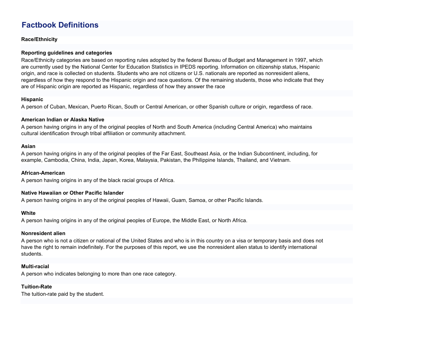### **Factbook Definitions**

**Race/Ethnicity**

#### **Reporting guidelines and categories**

Race/Ethnicity categories are based on reporting rules adopted by the federal Bureau of Budget and Management in 1997, which are currently used by the National Center for Education Statistics in IPEDS reporting. Information on citizenship status, Hispanic origin, and race is collected on students. Students who are not citizens or U.S. nationals are reported as nonresident aliens, regardless of how they respond to the Hispanic origin and race questions. Of the remaining students, those who indicate that they are of Hispanic origin are reported as Hispanic, regardless of how they answer the race

#### **Hispanic**

A person of Cuban, Mexican, Puerto Rican, South or Central American, or other Spanish culture or origin, regardless of race.

#### **American Indian or Alaska Native**

A person having origins in any of the original peoples of North and South America (including Central America) who maintains cultural identification through tribal affiliation or community attachment.

#### **Asian**

A person having origins in any of the original peoples of the Far East, Southeast Asia, or the Indian Subcontinent, including, for example, Cambodia, China, India, Japan, Korea, Malaysia, Pakistan, the Philippine Islands, Thailand, and Vietnam.

#### **African-American**

A person having origins in any of the black racial groups of Africa.

#### **Native Hawaiian or Other Pacific Islander**

A person having origins in any of the original peoples of Hawaii, Guam, Samoa, or other Pacific Islands.

#### **White**

A person having origins in any of the original peoples of Europe, the Middle East, or North Africa.

#### **Nonresident alien**

A person who is not a citizen or national of the United States and who is in this country on a visa or temporary basis and does not have the right to remain indefinitely. For the purposes of this report, we use the nonresident alien status to identify international students.

#### **Multi-racial**

A person who indicates belonging to more than one race category.

#### **Tuition-Rate**

The tuition-rate paid by the student.